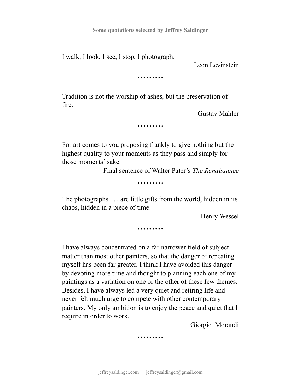**Some quotations selected by Jeffrey Saldinger**

I walk, I look, I see, I stop, I photograph.

Leon Levinstein

*………*

Tradition is not the worship of ashes, but the preservation of fire.

Gustav Mahler

*………*

For art comes to you proposing frankly to give nothing but the highest quality to your moments as they pass and simply for those moments' sake.

Final sentence of Walter Pater's *The Renaissance*

*………*

The photographs . . . are little gifts from the world, hidden in its chaos, hidden in a piece of time.

Henry Wessel

*………*

I have always concentrated on a far narrower field of subject matter than most other painters, so that the danger of repeating myself has been far greater. I think I have avoided this danger by devoting more time and thought to planning each one of my paintings as a variation on one or the other of these few themes. Besides, I have always led a very quiet and retiring life and never felt much urge to compete with other contemporary painters. My only ambition is to enjoy the peace and quiet that I require in order to work.

Giorgio Morandi

*………*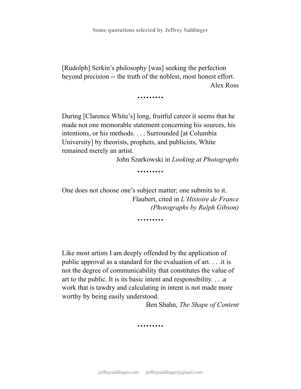[Rudolph] Serkin's philosophy [was] seeking the perfection beyond precision -- the truth of the noblest, most honest effort. Alex Ross

*………*

During [Clarence White's] long, fruitful career it seems that he made not one memorable statement concerning his sources, his intentions, or his methods. . . . Surrounded [at Columbia University] by theorists, prophets, and publicists, White remained merely an artist.

John Szarkowski in *Looking at Photographs*

*………*

One does not choose one's subject matter; one submits to it. Flaubert, cited in *L'Histoire de France (Photographs by Ralph Gibson)*

*………*

Like most artists I am deeply offended by the application of public approval as a standard for the evaluation of art. . . .it is not the degree of communicability that constitutes the value of art to the public. It is its basic intent and responsibility. . . .a work that is tawdry and calculating in intent is not made more worthy by being easily understood.

Ben Shahn, *The Shape of Content*

**………**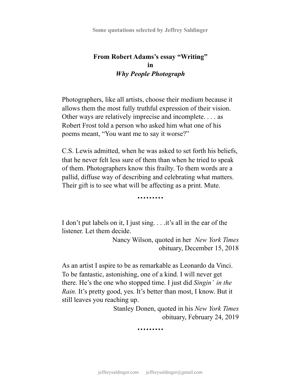## **From Robert Adams's essay "Writing" in** *Why People Photograph*

Photographers, like all artists, choose their medium because it allows them the most fully truthful expression of their vision. Other ways are relatively imprecise and incomplete. . . . as Robert Frost told a person who asked him what one of his poems meant, "You want me to say it worse?"

C.S. Lewis admitted, when he was asked to set forth his beliefs, that he never felt less sure of them than when he tried to speak of them. Photographers know this frailty. To them words are a pallid, diffuse way of describing and celebrating what matters. Their gift is to see what will be affecting as a print. Mute.

**………**

I don't put labels on it, I just sing. . . .it's all in the ear of the listener. Let them decide.

> Nancy Wilson, quoted in her *New York Times* obituary, December 15, 2018

As an artist I aspire to be as remarkable as Leonardo da Vinci. To be fantastic, astonishing, one of a kind. I will never get there. He's the one who stopped time. I just did *Singin' in the Rain.* It's pretty good, yes. It's better than most, I know. But it still leaves you reaching up.

> Stanley Donen, quoted in his *New York Times* obituary, February 24, 2019

> > *………*